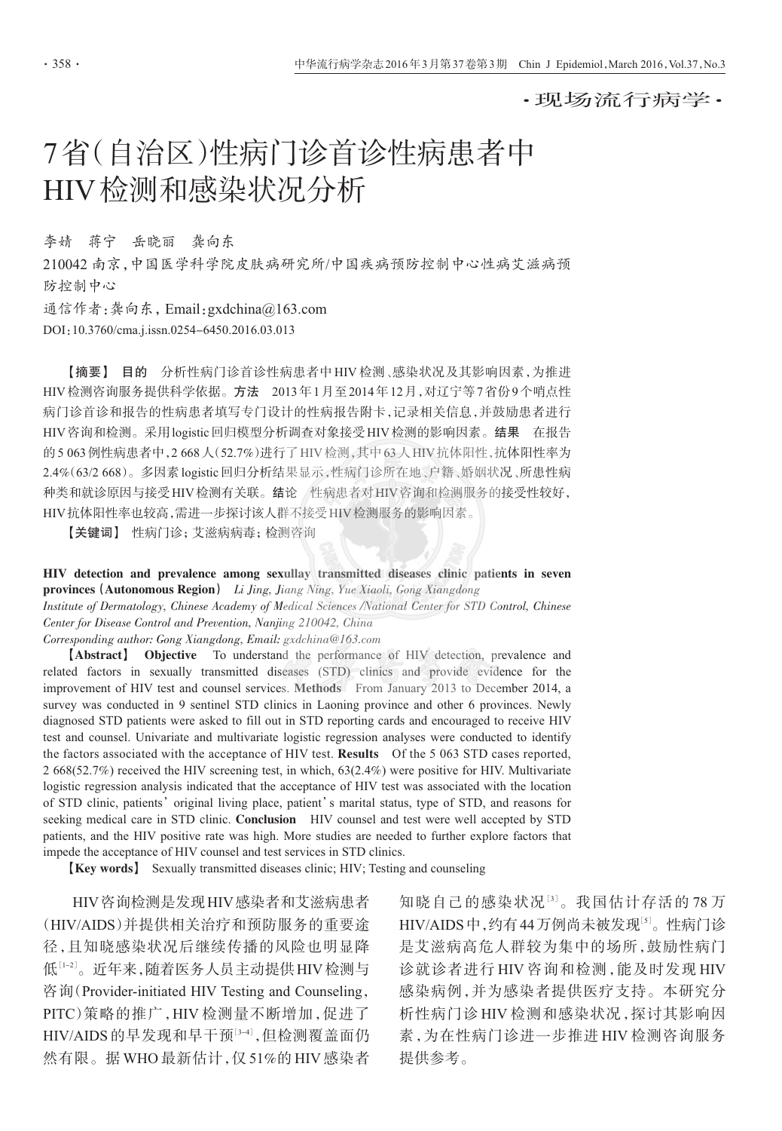•现场流行病学•

# 7省(自治区)性病门诊首诊性病患者中 HIV检测和感染状况分析

李婧 蒋宁 岳晓丽 龚向东

210042 南京,中国医学科学院皮肤病研究所/中国疾病预防控制中心性病艾滋病预 防控制中心

通信作者:龚向东, Email: gxdchina@163.com

DOI:10.3760/cma.j.issn.0254-6450.2016.03.013

【摘要】 目的 分析性病门诊首诊性病患者中HIV检测、感染状况及其影响因素,为推进 HIV检测咨询服务提供科学依据。方法 2013年1月至2014年12月,对辽宁等7省份9个哨点性 病门诊首诊和报告的性病患者填写专门设计的性病报告附卡,记录相关信息,并鼓励患者进行 HIV 咨询和检测。采用logistic 回归模型分析调查对象接受 HIV 检测的影响因素。结果 在报告 的 5 063 例性病患者中, 2 668 人 (52.7%) 进行了 HIV 检测, 其中 63 人 HIV 抗体阳性, 抗体阳性率为 2.4%(63/2 668)。多因素 logistic 回归分析结果显示,性病门诊所在地、户籍、婚姻状况、所患性病 种类和就诊原因与接受HIV检测有关联。结论 性病患者对HIV咨询和检测服务的接受性较好, HIV抗体阳性率也较高,需进一步探讨该人群不接受HIV检测服务的影响因素。

【关键词】 性病门诊;艾滋病病毒;检测咨询

HIV detection and prevalence among sexullay transmitted diseases clinic patients in seven provinces (Autonomous Region) Li Jing, Jiang Ning, Yue Xiaoli, Gong Xiangdong

Institute of Dermatology, Chinese Academy of Medical Sciences /National Center for STD Control, Chinese Center for Disease Control and Prevention, Nanjing 210042, China

Corresponding author: Gong Xiangdong, Email: gxdchina@163.com

[Abstract] Objective To understand the performance of HIV detection, prevalence and related factors in sexually transmitted diseases (STD) clinics and provide evidence for the improvement of HIV test and counsel services. Methods From January 2013 to December 2014, a survey was conducted in 9 sentinel STD clinics in Laoning province and other 6 provinces. Newly diagnosed STD patients were asked to fill out in STD reporting cards and encouraged to receive HIV test and counsel. Univariate and multivariate logistic regression analyses were conducted to identify the factors associated with the acceptance of HIV test. Results Of the 5 063 STD cases reported, 2 668(52.7%) received the HIV screening test, in which, 63(2.4%) were positive for HIV. Multivariate logistic regression analysis indicated that the acceptance of HIV test was associated with the location of STD clinic, patients' original living place, patient's marital status, type of STD, and reasons for seeking medical care in STD clinic. Conclusion HIV counsel and test were well accepted by STD patients, and the HIV positive rate was high. More studies are needed to further explore factors that impede the acceptance of HIV counsel and test services in STD clinics.

**[Key words]** Sexually transmitted diseases clinic; HIV; Testing and counseling

HIV 咨询检测是发现 HIV 感染者和艾滋病患者 (HIV/AIDS)并提供相关治疗和预防服务的重要途 径,且知晓感染状况后继续传播的风险也明显降 低[1-2]。近年来,随着医务人员主动提供HIV检测与 咨询(Provider-initiated HIV Testing and Counseling, PITC)策略的推广,HIV检测量不断增加,促进了 HIV/AIDS 的早发现和早干预[3-4],但检测覆盖面仍 然有限。据 WHO 最新估计, 仅 51%的 HIV 感染者 知晓自己的感染状况[3]。我国估计存活的78万 HIV/AIDS中,约有44万例尚未被发现[5]。性病门诊 是艾滋病高危人群较为集中的场所,鼓励性病门 诊就诊者进行 HIV 咨询和检测,能及时发现 HIV 感染病例,并为感染者提供医疗支持。本研究分 析性病门诊HIV检测和感染状况, 探讨其影响因 素,为在性病门诊进一步推进HIV检测咨询服务 提供参考。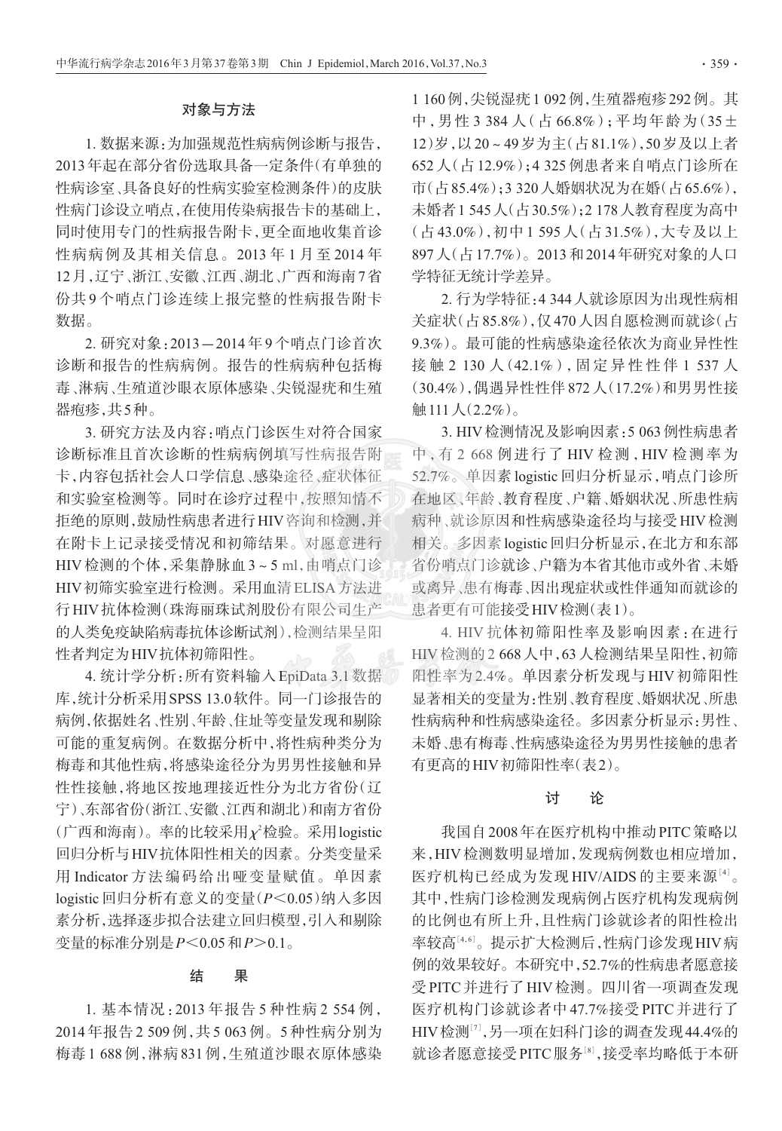## 对象与方法

1. 数据来源, 为加强规范性病病例诊断与报告, 2013年起在部分省份选取具备一定条件(有单独的 性病诊室、具备良好的性病实验室检测条件)的皮肤 性病门诊设立哨点,在使用传染病报告卡的基础上, 同时使用专门的性病报告附卡,更全面地收集首诊 性病病例及其相关信息。2013年1月至2014年 12月,辽宁、浙江、安徽、江西、湖北、广西和海南7省 份共9个哨点门诊连续上报完整的性病报告附卡 数据。

2. 研究对象: 2013-2014年9个哨点门诊首次 诊断和报告的性病病例。报告的性病病种包括梅 毒、淋病、生殖道沙眼衣原体感染、尖锐湿疣和生殖 器病疹,共5种。

3. 研究方法及内容: 哨点门诊医生对符合国家 诊断标准且首次诊断的性病病例填写性病报告附 卡,内容包括社会人口学信息、感染途径、症状体征 和实验室检测等。同时在诊疗过程中,按照知情不 拒绝的原则,鼓励性病患者讲行HIV咨询和检测,并 在附卡上记录接受情况和初筛结果。对愿意进行 HIV检测的个体,采集静脉血3~5ml.由哨点门诊 HIV初筛实验室进行检测。采用血清 ELISA 方法进 行HIV 抗体检测(珠海丽珠试剂股份有限公司生产 的人类免疫缺陷病毒抗体诊断试剂),检测结果呈阳 性者判定为HIV抗体初筛阳性。

4. 统计学分析: 所有资料输入 EpiData 3.1 数据 库,统计分析采用SPSS 13.0软件。同一门诊报告的 病例,依据姓名、性别、年龄、住址等变量发现和剔除 可能的重复病例。在数据分析中,将性病种类分为 梅毒和其他性病,将感染涂径分为男男性接触和异 性性接触,将地区按地理接近性分为北方省份(辽 宁)、东部省份(浙江、安徽、江西和湖北)和南方省份 (广西和海南)。率的比较采用x2检验。采用logistic 回归分析与HIV抗体阳性相关的因素。分类变量采 用 Indicator 方法编码给出哑变量赋值。单因素 logistic 回归分析有意义的变量(P<0.05)纳入多因 素分析,选择逐步拟合法建立回归模型,引入和剔除 变量的标准分别是 P<0.05 和 P>0.1。

### 结 果

1. 基本情况: 2013年报告 5 种性病 2 554 例, 2014年报告2 509例,共5 063例。5种性病分别为 梅毒1688例,淋病831例,生殖道沙眼衣原体感染

1 160 例, 尖锐湿疣 1 092 例, 生殖器疱疹 292 例。其 中,男性3 384人(占66.8%);平均年龄为(35土 12) 岁, 以20~49 岁为主(占81.1%), 50 岁及以上者 652 人(占12.9%):4325 例患者来自哨点门诊所在 市(占85.4%):3320人婚姻状况为在婚(占65.6%), 未婚者1545人(占30.5%):2178人教育程度为高中 (占43.0%),初中1595人(占31.5%),大专及以上 897人(占17.7%)。2013和2014年研究对象的人口 学特征无统计学差异。

2. 行为学特征: 4 344 人就诊原因为出现性病相 关症状(占85.8%),仅470人因自愿检测而就诊(占 9.3%)。最可能的性病感染涂径依次为商业异性性 接触 2 130 人 (42.1%). 固定异性性伴1 537 人 (30.4%), 偶遇异性性伴872人(17.2%) 和男男性接 <u>触111人(2.2%)。</u>

3. HIV 检测情况及影响因素: 5 063 例性病患者 中、有 2 668 例进行了 HIV 检测, HIV 检测率为 52.7%。单因素 logistic 回归分析显示,哨点门诊所 在地区、年龄、教育程度、户籍、婚姻状况、所患性病 病种、就诊原因和性病感染涂径均与接受HIV检测 相关。多因素logistic回归分析显示,在北方和东部 省份哨点门诊就诊、户籍为本省其他市或外省、未婚 或离异、患有梅毒、因出现症状或性伴通知而就诊的 患者更有可能接受HIV检测(表1)。

4. HIV 抗体初筛阳性率及影响因素: 在进行 HIV检测的2 668人中, 63人检测结果呈阳性, 初筛 阳性率为2.4%。单因素分析发现与HIV初筛阳性 显著相关的变量为:性别、教育程度、婚姻状况、所患 性病病种和性病感染途径。多因素分析显示:男性、 未婚、患有梅毒、性病感染途径为男男性接触的患者 有更高的HIV初筛阳性率(表2)。

#### 讨 论

我国自2008年在医疗机构中推动 PITC 策略以 来,HIV检测数明显增加,发现病例数也相应增加, 医疗机构已经成为发现 HIV/AIDS 的主要来源[4]。 其中,性病门诊检测发现病例占医疗机构发现病例 的比例也有所上升,且性病门诊就诊者的阳性检出 率较高[4,6]。提示扩大检测后,性病门诊发现HIV病 例的效果较好。本研究中,52.7%的性病患者愿意接 受PITC并进行了HIV检测。四川省一项调杳发现 医疗机构门诊就诊者中47.7%接受PITC并进行了 HIV检测[7],另一项在妇科门诊的调查发现44.4%的 就诊者愿意接受 PITC 服务[8],接受率均略低于本研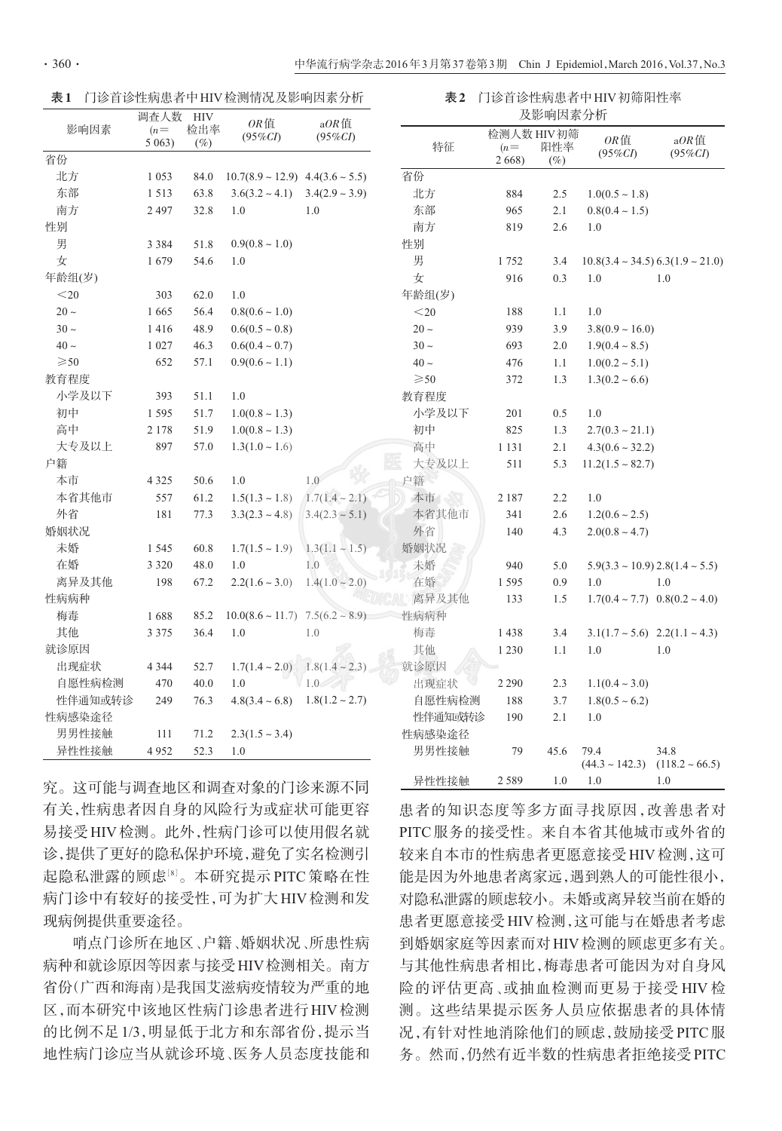表1 门诊首诊性病患者中HIV检测情况及影响因素分析

表2 门诊首诊性病患者中HIV初筛阳性率 **74 影响国夷公拆** 

| 影响因素           | 珦宜人致<br>$(n=$<br>5063) | HI V<br>检出率<br>$(\%)$ | $OR$ 值<br>$(95\%CI)$                      | $aOR$ 值<br>$(95\% CI)$ | 及影 門 凶 糸 刀 忉   |                     |         |                                                 |                        |
|----------------|------------------------|-----------------------|-------------------------------------------|------------------------|----------------|---------------------|---------|-------------------------------------------------|------------------------|
|                |                        |                       |                                           |                        | 特征             | 检测人数 HIV初筛<br>$(n=$ | 阳性率     | OR值<br>$(95\%CI)$                               | $aOR$ 值<br>$(95\% CI)$ |
| 省份             |                        |                       |                                           |                        |                | 2 6 6 8 )           | $(\%)$  |                                                 |                        |
| 北方             | 1 0 5 3                | 84.0                  | $10.7(8.9 \sim 12.9)$ 4.4(3.6 $\sim$ 5.5) |                        | 省份             |                     |         |                                                 |                        |
| 东部             | 1513                   | 63.8                  | $3.6(3.2 \sim 4.1)$ $3.4(2.9 \sim 3.9)$   |                        | 北方             | 884                 | 2.5     | $1.0(0.5 \sim 1.8)$                             |                        |
| 南方             | 2 4 9 7                | 32.8                  | 1.0                                       | 1.0                    | 东部             | 965                 | 2.1     | $0.8(0.4 \sim 1.5)$                             |                        |
| 性别             |                        |                       |                                           |                        | 南方             | 819                 | 2.6     | 1.0                                             |                        |
| 男              | 3 3 8 4                | 51.8                  | $0.9(0.8 \sim 1.0)$                       |                        | 性别             |                     |         |                                                 |                        |
| 女              | 1679                   | 54.6                  | 1.0                                       |                        | 男              | 1752                | 3.4     | $10.8(3.4 \sim 34.5) 6.3(1.9 \sim 21.0)$        |                        |
| 年龄组(岁)         |                        |                       |                                           |                        | 女              | 916                 | 0.3     | 1.0                                             | 1.0                    |
| $<$ 20         | 303                    | 62.0                  | 1.0                                       |                        | 年龄组(岁)         |                     |         |                                                 |                        |
| $20 \sim$      | 1665                   | 56.4                  | $0.8(0.6 \sim 1.0)$                       |                        | $<$ 20         | 188                 | $1.1\,$ | 1.0                                             |                        |
| $30 \sim$      | 1416                   | 48.9                  | $0.6(0.5 \sim 0.8)$                       |                        | $20 \sim$      | 939                 | 3.9     | $3.8(0.9 \sim 16.0)$                            |                        |
| $40 \sim$      | 1 0 2 7                | 46.3                  | $0.6(0.4 \sim 0.7)$                       |                        | $30 \sim$      | 693                 | 2.0     | $1.9(0.4 \sim 8.5)$                             |                        |
| $\geqslant$ 50 | 652                    | 57.1                  | $0.9(0.6 \sim 1.1)$                       |                        | $40 \sim$      | 476                 | 1.1     | $1.0(0.2 \sim 5.1)$                             |                        |
| 教育程度           |                        |                       |                                           |                        | $\geqslant$ 50 | 372                 | 1.3     | $1.3(0.2 \sim 6.6)$                             |                        |
| 小学及以下          | 393                    | 51.1                  | 1.0                                       |                        | 教育程度           |                     |         |                                                 |                        |
| 初中             | 1595                   | 51.7                  | $1.0(0.8 \sim 1.3)$                       |                        | 小学及以下          | 201                 | 0.5     | 1.0                                             |                        |
| 高中             | 2 1 7 8                | 51.9                  | $1.0(0.8 \sim 1.3)$                       |                        | 初中             | 825                 | 1.3     | $2.7(0.3 \sim 21.1)$                            |                        |
| 大专及以上          | 897                    | 57.0                  | $1.3(1.0 \sim 1.6)$                       |                        | 高中             | 1 1 3 1             | 2.1     | $4.3(0.6 \sim 32.2)$                            |                        |
| 户籍             |                        |                       |                                           |                        | 大专及以上          | 511                 | 5.3     | $11.2(1.5 \sim 82.7)$                           |                        |
| 本市             | 4 3 2 5                | 50.6                  | 1.0                                       | 1.0                    | 户籍             |                     |         |                                                 |                        |
| 本省其他市          | 557                    | 61.2                  | $1.5(1.3 \sim 1.8)$                       | $1.7(1.4 \sim 2.1)$    | 本市             | 2 1 8 7             | 2.2     | 1.0                                             |                        |
| 外省             | 181                    | 77.3                  | $3.3(2.3 \sim 4.8)$                       | $3.4(2.3 \sim 5.1)$    | 本省其他市          | 341                 | 2.6     | $1.2(0.6 \sim 2.5)$                             |                        |
| 婚姻状况           |                        |                       |                                           |                        | 外省             | 140                 | 4.3     | $2.0(0.8 \sim 4.7)$                             |                        |
| 未婚             | 1 5 4 5                | 60.8                  | $1.7(1.5 \sim 1.9)$                       | $1.3(1.1 - 1.5)$       | 婚姻状况           |                     |         |                                                 |                        |
| 在婚             | 3 3 2 0                | 48.0                  | 1.0                                       | 1.0                    | 未婚             | 940                 | 5.0     | $5.9(3.3 \sim 10.9) 2.8(1.4 \sim 5.5)$          |                        |
| 离异及其他          | 198                    | 67.2                  | $2.2(1.6 \sim 3.0)$                       | $1.4(1.0 \sim 2.0)$    | 在婚             | 1595                | 0.9     | 1.0                                             | 1.0                    |
| 性病病种           |                        |                       |                                           |                        | 离异及其他          | 133                 | 1.5     | $1.7(0.4 \sim 7.7)$ $0.8(0.2 \sim 4.0)$         |                        |
| 梅毒             | 1688                   | 85.2                  | $10.0(8.6 \sim 11.7)$ 7.5(6.2 $\sim$ 8.9) |                        | 性病病种           |                     |         |                                                 |                        |
| 其他             | 3 3 7 5                | 36.4                  | 1.0                                       | 1.0                    | 梅毒             | 1438                | 3.4     | $3.1(1.7 \sim 5.6)$ $2.2(1.1 \sim 4.3)$         |                        |
| 就诊原因           |                        |                       |                                           |                        | 其他             | 1 2 3 0             | 1.1     | 1.0                                             | 1.0                    |
| 出现症状           | 4 3 4 4                | 52.7                  | $1.7(1.4 \sim 2.0)$                       | $1.8(1.4 - 2.3)$       | 就诊原因           |                     |         |                                                 |                        |
| 自愿性病检测         | 470                    | 40.0                  | 1.0                                       | $\sqrt{1.0}$           | 出现症状           | 2 2 9 0             | 2.3     | $1.1(0.4 \sim 3.0)$                             |                        |
| 性伴通知或转诊        | 249                    | 76.3                  | $4.8(3.4 \sim 6.8)$ $1.8(1.2 \sim 2.7)$   |                        | 自愿性病检测         | 188                 | 3.7     | $1.8(0.5 \sim 6.2)$                             |                        |
| 性病感染途径         |                        |                       |                                           |                        | 性伴通知或转诊        | 190                 | 2.1     | 1.0                                             |                        |
| 男男性接触          | $111\,$                | 71.2                  | $2.3(1.5 \sim 3.4)$                       |                        | 性病感染途径         |                     |         |                                                 |                        |
| 异性性接触          | 4952                   | 52.3                  | 1.0                                       |                        | 男男性接触          | 79                  | 45.6    | 79.4<br>$(44.3 \sim 142.3)$ $(118.2 \sim 66.5)$ | 34.8                   |

异性性接触

2 5 8 9

究。这可能与调查地区和调查对象的门诊来源不同 有关,性病患者因自身的风险行为或症状可能更容 易接受HIV检测。此外,性病门诊可以使用假名就 诊,提供了更好的隐私保护环境,避免了实名检测引 起隐私泄露的顾虑[8]。本研究提示PITC策略在性 病门诊中有较好的接受性,可为扩大HIV检测和发 现病例提供重要涂径。

哨点门诊所在地区、户籍、婚姻状况、所患性病 病种和就诊原因等因素与接受HIV检测相关。南方 省份(广西和海南)是我国艾滋病疫情较为严重的地 区,而本研究中该地区性病门诊患者进行HIV检测 的比例不足1/3,明显低于北方和东部省份,提示当 地性病门诊应当从就诊环境、医务人员态度技能和 患者的知识态度等多方面寻找原因,改善患者对 PITC服务的接受性。来自本省其他城市或外省的 较来自本市的性病患者更愿意接受HIV检测,这可 能是因为外地患者离家远,遇到熟人的可能性很小, 对隐私泄露的顾虑较小。未婚或离异较当前在婚的 患者更愿意接受HIV检测,这可能与在婚患者考虑 到婚姻家庭等因素而对HIV检测的顾虑更多有关。 与其他性病患者相比,梅毒患者可能因为对自身风 险的评估更高、或抽血检测而更易于接受 HIV 检 测。这些结果提示医务人员应依据患者的具体情 况,有针对性地消除他们的顾虑,鼓励接受PITC服 务。然而,仍然有近半数的性病患者拒绝接受PITC

 $1.0 \t 1.0 \t 1.0$